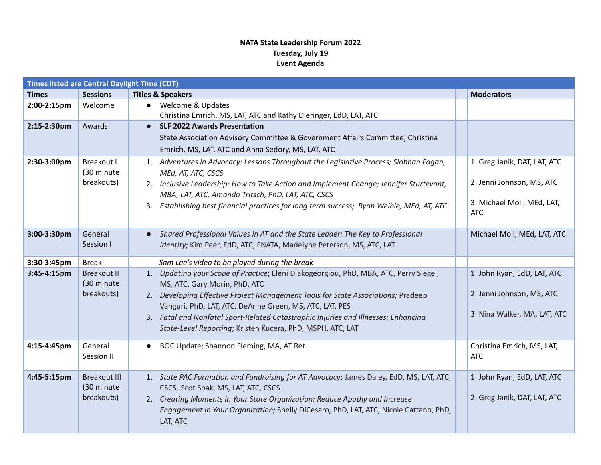## **NATA State Leadership Forum 2022 Tuesday, July 19 Event Agenda**

| <b>Times listed are Central Daylight Time (CDT)</b> |                     |                                                                                              |  |                                          |  |  |  |  |
|-----------------------------------------------------|---------------------|----------------------------------------------------------------------------------------------|--|------------------------------------------|--|--|--|--|
| <b>Times</b>                                        | <b>Sessions</b>     | <b>Titles &amp; Speakers</b>                                                                 |  | <b>Moderators</b>                        |  |  |  |  |
| 2:00-2:15pm                                         | Welcome             | • Welcome & Updates                                                                          |  |                                          |  |  |  |  |
|                                                     |                     | Christina Emrich, MS, LAT, ATC and Kathy Dieringer, EdD, LAT, ATC                            |  |                                          |  |  |  |  |
| 2:15-2:30pm                                         | Awards              | <b>SLF 2022 Awards Presentation</b><br>$\bullet$                                             |  |                                          |  |  |  |  |
|                                                     |                     | State Association Advisory Committee & Government Affairs Committee; Christina               |  |                                          |  |  |  |  |
|                                                     |                     | Emrich, MS, LAT, ATC and Anna Sedory, MS, LAT, ATC                                           |  |                                          |  |  |  |  |
| 2:30-3:00pm                                         | Breakout I          | 1. Adventures in Advocacy: Lessons Throughout the Legislative Process; Siobhan Fagan,        |  | 1. Greg Janik, DAT, LAT, ATC             |  |  |  |  |
|                                                     | (30 minute          | MEd, AT, ATC, CSCS                                                                           |  |                                          |  |  |  |  |
|                                                     | breakouts)          | 2. Inclusive Leadership: How to Take Action and Implement Change; Jennifer Sturtevant,       |  | 2. Jenni Johnson, MS, ATC                |  |  |  |  |
|                                                     |                     | MBA, LAT, ATC, Amanda Tritsch, PhD, LAT, ATC, CSCS                                           |  |                                          |  |  |  |  |
|                                                     |                     | Establishing best financial practices for long term success; Ryan Weible, MEd, AT, ATC<br>3. |  | 3. Michael Moll, MEd, LAT,<br><b>ATC</b> |  |  |  |  |
|                                                     |                     |                                                                                              |  |                                          |  |  |  |  |
| 3:00-3:30pm                                         | General             | Shared Professional Values in AT and the State Leader: The Key to Professional               |  | Michael Moll, MEd, LAT, ATC              |  |  |  |  |
|                                                     | Session I           | Identity; Kim Peer, EdD, ATC, FNATA, Madelyne Peterson, MS, ATC, LAT                         |  |                                          |  |  |  |  |
|                                                     |                     |                                                                                              |  |                                          |  |  |  |  |
| 3:30-3:45pm                                         | <b>Break</b>        | Sam Lee's video to be played during the break                                                |  |                                          |  |  |  |  |
| 3:45-4:15pm                                         | <b>Breakout II</b>  | Updating your Scope of Practice; Eleni Diakogeorgiou, PhD, MBA, ATC, Perry Siegel,<br>1.     |  | 1. John Ryan, EdD, LAT, ATC              |  |  |  |  |
|                                                     | (30 minute          | MS, ATC, Gary Morin, PhD, ATC                                                                |  |                                          |  |  |  |  |
|                                                     | breakouts)          | Developing Effective Project Management Tools for State Associations; Pradeep<br>2.          |  | 2. Jenni Johnson, MS, ATC                |  |  |  |  |
|                                                     |                     | Vanguri, PhD, LAT, ATC, DeAnne Green, MS, ATC, LAT, PES                                      |  |                                          |  |  |  |  |
|                                                     |                     | 3. Fatal and Nonfatal Sport-Related Catastrophic Injuries and Illnesses: Enhancing           |  | 3. Nina Walker, MA, LAT, ATC             |  |  |  |  |
|                                                     |                     | State-Level Reporting; Kristen Kucera, PhD, MSPH, ATC, LAT                                   |  |                                          |  |  |  |  |
| 4:15-4:45pm                                         | General             | BOC Update; Shannon Fleming, MA, AT Ret.                                                     |  | Christina Emrich, MS, LAT,               |  |  |  |  |
|                                                     | Session II          |                                                                                              |  | <b>ATC</b>                               |  |  |  |  |
|                                                     |                     |                                                                                              |  |                                          |  |  |  |  |
| 4:45-5:15pm                                         | <b>Breakout III</b> | 1. State PAC Formation and Fundraising for AT Advocacy; James Daley, EdD, MS, LAT, ATC,      |  | 1. John Ryan, EdD, LAT, ATC              |  |  |  |  |
|                                                     | (30 minute          | CSCS, Scot Spak, MS, LAT, ATC, CSCS                                                          |  |                                          |  |  |  |  |
|                                                     | breakouts)          | Creating Moments in Your State Organization: Reduce Apathy and Increase<br>2.                |  | 2. Greg Janik, DAT, LAT, ATC             |  |  |  |  |
|                                                     |                     | Engagement in Your Organization; Shelly DiCesaro, PhD, LAT, ATC, Nicole Cattano, PhD,        |  |                                          |  |  |  |  |
|                                                     |                     | LAT, ATC                                                                                     |  |                                          |  |  |  |  |
|                                                     |                     |                                                                                              |  |                                          |  |  |  |  |